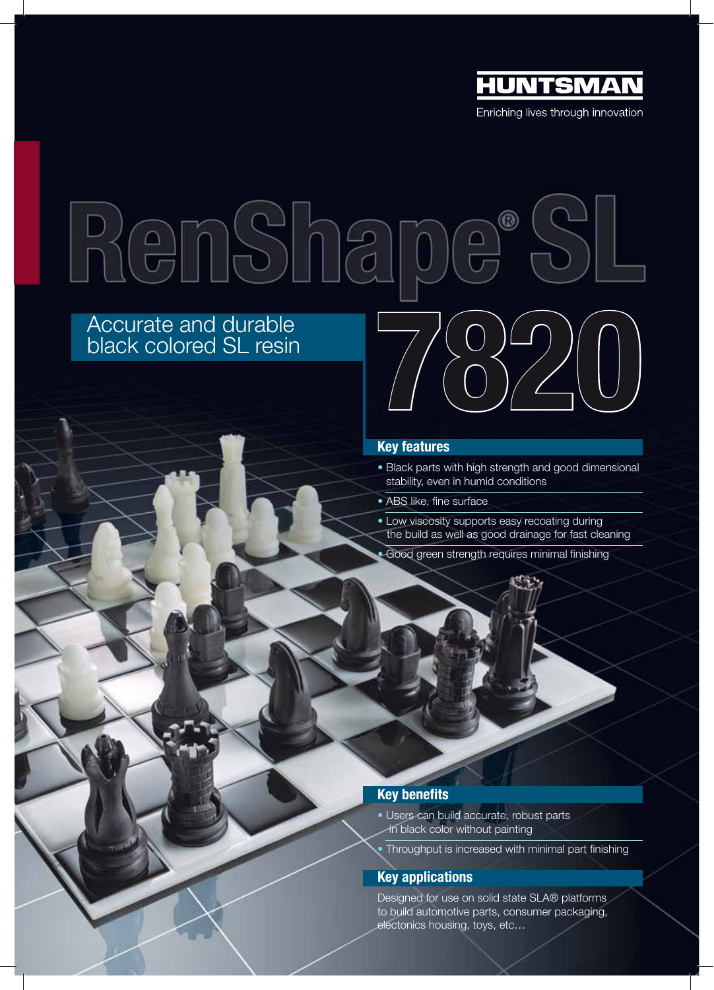

RenSha  $^\circledR$ Accurate and durable<br>black colored SL resin<br>  $\begin{picture}(180,190) \put(0,0){\line(1,0){100}} \put(150,0){\line(1,0){100}} \put(150,0){\line(1,0){100}} \put(150,0){\line(1,0){100}} \put(150,0){\line(1,0){100}} \put(150,0){\line(1,0){100}} \put(150,0){\line(1,0){100}} \put(150,0){\line(1,0){100}} \put(15$ 

# black colored SL resin

## **Key features**

- Black parts with high strength and good dimensional stability, even in humid conditions
- ABS like, fine surface
- Low viscosity supports easy recoating during the build as well as good drainage for fast cleaning
- Good green strength requires minimal finishing

# **Key benefits**

- Users can build accurate, robust parts in black color without painting
- Throughput is increased with minimal part finishing

# **Key applications**

Designed for use on solid state SLA® platforms to build automotive parts, consumer packaging, electonics housing, toys, etc…